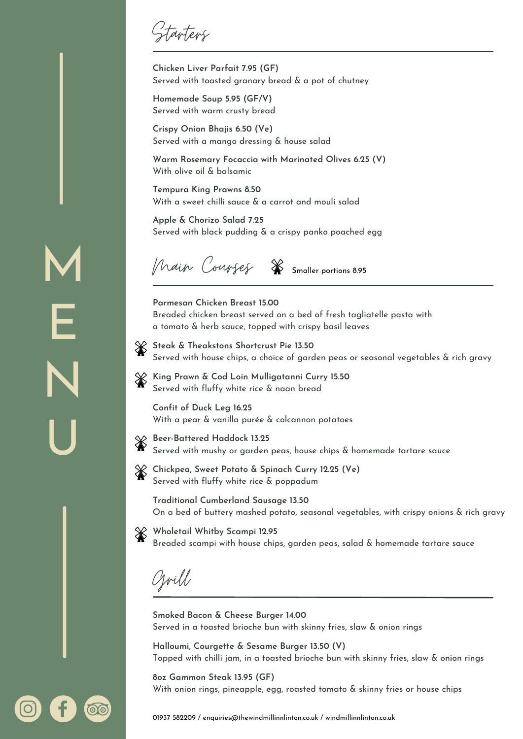Starters

**Chicken Liver Parfait 7.95 (GF)** Served with toasted granary bread & a pot of chutney

**Homemade Soup 5.95 (GF/V)** Served with warm crusty bread

**Crispy Onion Bhajis 6.50 (Ve)** Served with a mango dressing & house salad

**Warm Rosemary Focaccia with Marinated Olives 6.25 (V)** With olive oil & balsamic

**Tempura King Prawns 8.50** With a sweet chilli sauce & a carrot and mouli salad

**Apple & Chorizo Salad 7.25** Served with black pudding & a crispy panko poached egg

Main Courses Smaller portions 8.95

**Parmesan Chicken Breast 15.00** Breaded chicken breast served on a bed of fresh tagliatelle pasta with a tomato & herb sauce, topped with crispy basil leaves

**Steak & Theakstons Shortcrust Pie 13.50** Served with house chips, a choice of garden peas or seasonal vegetables & rich gravy

**King Prawn & Cod Loin Mulligatanni Curry 15.50** Served with fluffy white rice & naan bread

**Confit of Duck Leg 16.25** With a pear & vanilla purée & colcannon potatoes

- 
- **Beer-Battered Haddock 13.25** Served with mushy or garden peas, house chips & homemade tartare sauce
- **Chickpea, Sweet Potato & Spinach Curry 12.25 (Ve)** Served with fluffy white rice & poppadum

**Traditional Cumberland Sausage 13.50** On a bed of buttery mashed potato, seasonal vegetables, with crispy onions & rich gravy

❀ **Wholetail Whitby Scampi 12.95** Breaded scampi with house chips, garden peas, salad & homemade tartare sauce

Grill

**Smoked Bacon & Cheese Burger 14.00** Served in a toasted brioche bun with skinny fries, slaw & onion rings

**Halloumi, Courgette & Sesame Burger 13.50 (V)** Topped with chilli jam, in a toasted brioche bun with skinny fries, slaw & onion rings

**8oz Gammon Steak 13.95 (GF)** With onion rings, pineapple, egg, roasted tomato & skinny fries or house chips

M E N U